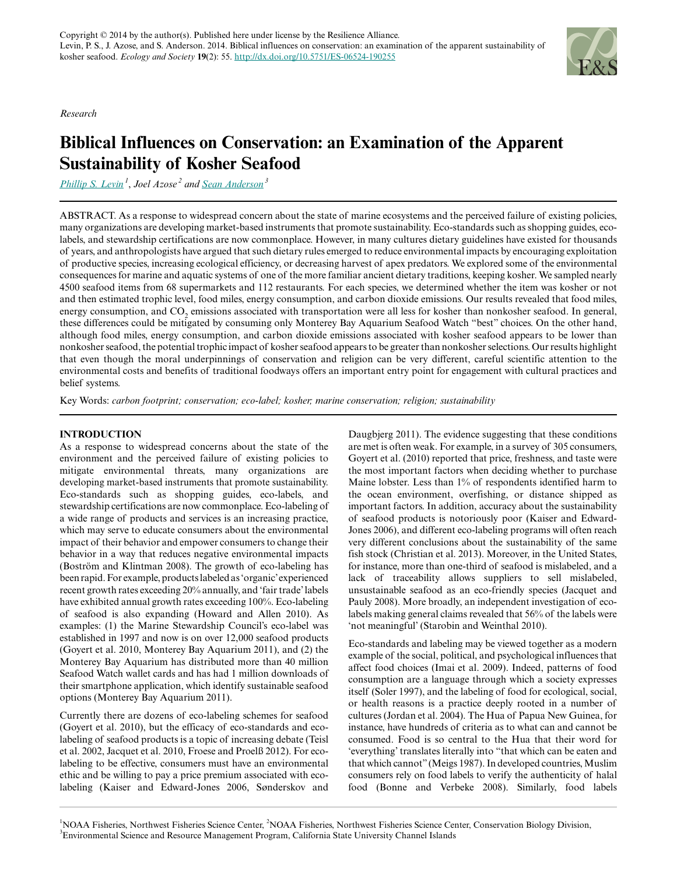*Research*



# **Biblical Influences on Conservation: an Examination of the Apparent Sustainability of Kosher Seafood**

*[Phillip S. Levin](mailto:phil.levin@noaa.gov)<sup>1</sup>* , *Joel Azose<sup>2</sup> and [Sean Anderson](mailto:sean.anderson@csuci.edu)<sup>3</sup>*

ABSTRACT. As a response to widespread concern about the state of marine ecosystems and the perceived failure of existing policies, many organizations are developing market-based instruments that promote sustainability. Eco-standards such as shopping guides, ecolabels, and stewardship certifications are now commonplace. However, in many cultures dietary guidelines have existed for thousands of years, and anthropologists have argued that such dietary rules emerged to reduce environmental impacts by encouraging exploitation of productive species, increasing ecological efficiency, or decreasing harvest of apex predators. We explored some of the environmental consequences for marine and aquatic systems of one of the more familiar ancient dietary traditions, keeping kosher. We sampled nearly 4500 seafood items from 68 supermarkets and 112 restaurants. For each species, we determined whether the item was kosher or not and then estimated trophic level, food miles, energy consumption, and carbon dioxide emissions. Our results revealed that food miles, energy consumption, and  $CO_2$  emissions associated with transportation were all less for kosher than nonkosher seafood. In general, these differences could be mitigated by consuming only Monterey Bay Aquarium Seafood Watch "best" choices. On the other hand, although food miles, energy consumption, and carbon dioxide emissions associated with kosher seafood appears to be lower than nonkosher seafood, the potential trophic impact of kosher seafood appears to be greater than nonkosher selections. Our results highlight that even though the moral underpinnings of conservation and religion can be very different, careful scientific attention to the environmental costs and benefits of traditional foodways offers an important entry point for engagement with cultural practices and belief systems.

Key Words: *carbon footprint; conservation; eco-label; kosher; marine conservation; religion; sustainability*

## **INTRODUCTION**

As a response to widespread concerns about the state of the environment and the perceived failure of existing policies to mitigate environmental threats, many organizations are developing market-based instruments that promote sustainability. Eco-standards such as shopping guides, eco-labels, and stewardship certifications are now commonplace. Eco-labeling of a wide range of products and services is an increasing practice, which may serve to educate consumers about the environmental impact of their behavior and empower consumers to change their behavior in a way that reduces negative environmental impacts (Boström and Klintman 2008). The growth of eco-labeling has been rapid. For example, products labeled as 'organic' experienced recent growth rates exceeding 20% annually, and 'fair trade' labels have exhibited annual growth rates exceeding 100%. Eco-labeling of seafood is also expanding (Howard and Allen 2010). As examples: (1) the Marine Stewardship Council's eco-label was established in 1997 and now is on over 12,000 seafood products (Goyert et al. 2010, Monterey Bay Aquarium 2011), and (2) the Monterey Bay Aquarium has distributed more than 40 million Seafood Watch wallet cards and has had 1 million downloads of their smartphone application, which identify sustainable seafood options (Monterey Bay Aquarium 2011).

Currently there are dozens of eco-labeling schemes for seafood (Goyert et al. 2010), but the efficacy of eco-standards and ecolabeling of seafood products is a topic of increasing debate (Teisl et al. 2002, Jacquet et al. 2010, Froese and Proelß 2012). For ecolabeling to be effective, consumers must have an environmental ethic and be willing to pay a price premium associated with ecolabeling (Kaiser and Edward-Jones 2006, Sønderskov and Daugbjerg 2011). The evidence suggesting that these conditions are met is often weak. For example, in a survey of 305 consumers, Goyert et al. (2010) reported that price, freshness, and taste were the most important factors when deciding whether to purchase Maine lobster. Less than 1% of respondents identified harm to the ocean environment, overfishing, or distance shipped as important factors. In addition, accuracy about the sustainability of seafood products is notoriously poor (Kaiser and Edward-Jones 2006), and different eco-labeling programs will often reach very different conclusions about the sustainability of the same fish stock (Christian et al. 2013). Moreover, in the United States, for instance, more than one-third of seafood is mislabeled, and a lack of traceability allows suppliers to sell mislabeled, unsustainable seafood as an eco-friendly species (Jacquet and Pauly 2008). More broadly, an independent investigation of ecolabels making general claims revealed that 56% of the labels were 'not meaningful' (Starobin and Weinthal 2010).

Eco-standards and labeling may be viewed together as a modern example of the social, political, and psychological influences that affect food choices (Imai et al. 2009). Indeed, patterns of food consumption are a language through which a society expresses itself (Soler 1997), and the labeling of food for ecological, social, or health reasons is a practice deeply rooted in a number of cultures (Jordan et al. 2004). The Hua of Papua New Guinea, for instance, have hundreds of criteria as to what can and cannot be consumed. Food is so central to the Hua that their word for 'everything' translates literally into "that which can be eaten and that which cannot" (Meigs 1987). In developed countries, Muslim consumers rely on food labels to verify the authenticity of halal food (Bonne and Verbeke 2008). Similarly, food labels

<sup>&</sup>lt;sup>1</sup>NOAA Fisheries, Northwest Fisheries Science Center, <sup>2</sup>NOAA Fisheries, Northwest Fisheries Science Center, Conservation Biology Division, <sup>3</sup>Environmental Science and Resource Management Program, California State University Channel Islands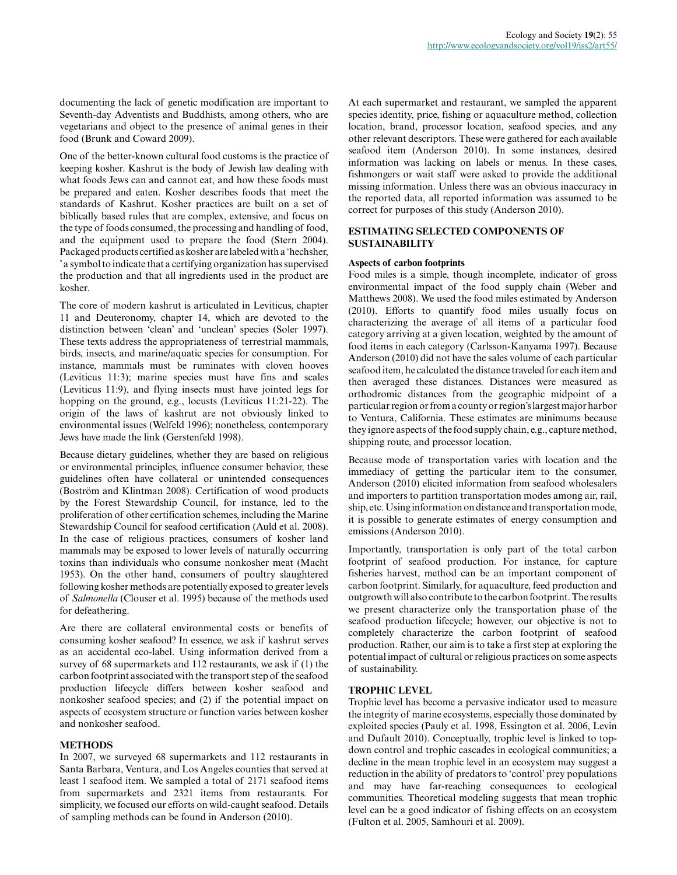documenting the lack of genetic modification are important to Seventh-day Adventists and Buddhists, among others, who are vegetarians and object to the presence of animal genes in their food (Brunk and Coward 2009).

One of the better-known cultural food customs is the practice of keeping kosher. Kashrut is the body of Jewish law dealing with what foods Jews can and cannot eat, and how these foods must be prepared and eaten. Kosher describes foods that meet the standards of Kashrut. Kosher practices are built on a set of biblically based rules that are complex, extensive, and focus on the type of foods consumed, the processing and handling of food, and the equipment used to prepare the food (Stern 2004). Packaged products certified as kosher are labeled with a 'hechsher, ' a symbol to indicate that a certifying organization has supervised the production and that all ingredients used in the product are kosher.

The core of modern kashrut is articulated in Leviticus, chapter 11 and Deuteronomy, chapter 14, which are devoted to the distinction between 'clean' and 'unclean' species (Soler 1997). These texts address the appropriateness of terrestrial mammals, birds, insects, and marine/aquatic species for consumption. For instance, mammals must be ruminates with cloven hooves (Leviticus 11:3); marine species must have fins and scales (Leviticus 11:9), and flying insects must have jointed legs for hopping on the ground, e.g., locusts (Leviticus 11:21-22). The origin of the laws of kashrut are not obviously linked to environmental issues (Welfeld 1996); nonetheless, contemporary Jews have made the link (Gerstenfeld 1998).

Because dietary guidelines, whether they are based on religious or environmental principles, influence consumer behavior, these guidelines often have collateral or unintended consequences (Boström and Klintman 2008). Certification of wood products by the Forest Stewardship Council, for instance, led to the proliferation of other certification schemes, including the Marine Stewardship Council for seafood certification (Auld et al. 2008). In the case of religious practices, consumers of kosher land mammals may be exposed to lower levels of naturally occurring toxins than individuals who consume nonkosher meat (Macht 1953). On the other hand, consumers of poultry slaughtered following kosher methods are potentially exposed to greater levels of *Salmonella* (Clouser et al. 1995) because of the methods used for defeathering.

Are there are collateral environmental costs or benefits of consuming kosher seafood? In essence, we ask if kashrut serves as an accidental eco-label. Using information derived from a survey of 68 supermarkets and 112 restaurants, we ask if (1) the carbon footprint associated with the transport step of the seafood production lifecycle differs between kosher seafood and nonkosher seafood species; and (2) if the potential impact on aspects of ecosystem structure or function varies between kosher and nonkosher seafood.

#### **METHODS**

In 2007, we surveyed 68 supermarkets and 112 restaurants in Santa Barbara, Ventura, and Los Angeles counties that served at least 1 seafood item. We sampled a total of 2171 seafood items from supermarkets and 2321 items from restaurants. For simplicity, we focused our efforts on wild-caught seafood. Details of sampling methods can be found in Anderson (2010).

At each supermarket and restaurant, we sampled the apparent species identity, price, fishing or aquaculture method, collection location, brand, processor location, seafood species, and any other relevant descriptors. These were gathered for each available seafood item (Anderson 2010). In some instances, desired information was lacking on labels or menus. In these cases, fishmongers or wait staff were asked to provide the additional missing information. Unless there was an obvious inaccuracy in the reported data, all reported information was assumed to be correct for purposes of this study (Anderson 2010).

## **ESTIMATING SELECTED COMPONENTS OF SUSTAINABILITY**

#### **Aspects of carbon footprints**

Food miles is a simple, though incomplete, indicator of gross environmental impact of the food supply chain (Weber and Matthews 2008). We used the food miles estimated by Anderson (2010). Efforts to quantify food miles usually focus on characterizing the average of all items of a particular food category arriving at a given location, weighted by the amount of food items in each category (Carlsson-Kanyama 1997). Because Anderson (2010) did not have the sales volume of each particular seafood item, he calculated the distance traveled for each item and then averaged these distances. Distances were measured as orthodromic distances from the geographic midpoint of a particular region or from a county or region's largest major harbor to Ventura, California. These estimates are minimums because they ignore aspects of the food supply chain, e.g., capture method, shipping route, and processor location.

Because mode of transportation varies with location and the immediacy of getting the particular item to the consumer, Anderson (2010) elicited information from seafood wholesalers and importers to partition transportation modes among air, rail, ship, etc. Using information on distance and transportation mode, it is possible to generate estimates of energy consumption and emissions (Anderson 2010).

Importantly, transportation is only part of the total carbon footprint of seafood production. For instance, for capture fisheries harvest, method can be an important component of carbon footprint. Similarly, for aquaculture, feed production and outgrowth will also contribute to the carbon footprint. The results we present characterize only the transportation phase of the seafood production lifecycle; however, our objective is not to completely characterize the carbon footprint of seafood production. Rather, our aim is to take a first step at exploring the potential impact of cultural or religious practices on some aspects of sustainability.

#### **TROPHIC LEVEL**

Trophic level has become a pervasive indicator used to measure the integrity of marine ecosystems, especially those dominated by exploited species (Pauly et al. 1998, Essington et al. 2006, Levin and Dufault 2010). Conceptually, trophic level is linked to topdown control and trophic cascades in ecological communities; a decline in the mean trophic level in an ecosystem may suggest a reduction in the ability of predators to 'control' prey populations and may have far-reaching consequences to ecological communities. Theoretical modeling suggests that mean trophic level can be a good indicator of fishing effects on an ecosystem (Fulton et al. 2005, Samhouri et al. 2009).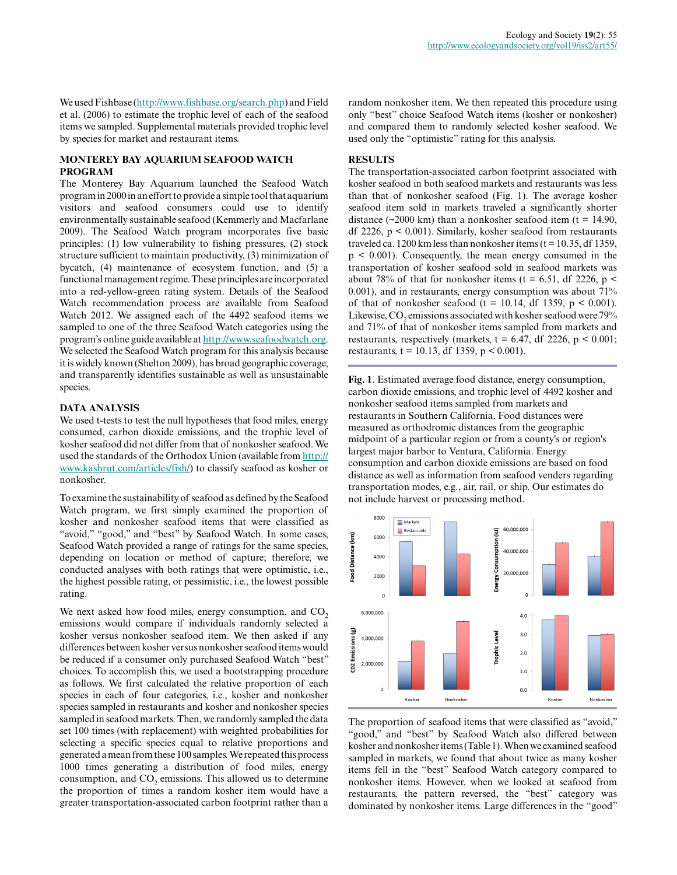We used Fishbase (<http://www.fishbase.org/search.php>) and Field et al. (2006) to estimate the trophic level of each of the seafood items we sampled. Supplemental materials provided trophic level by species for market and restaurant items.

#### **MONTEREY BAY AQUARIUM SEAFOOD WATCH PROGRAM**

The Monterey Bay Aquarium launched the Seafood Watch program in 2000 in an effort to provide a simple tool that aquarium visitors and seafood consumers could use to identify environmentally sustainable seafood (Kemmerly and Macfarlane 2009). The Seafood Watch program incorporates five basic principles: (1) low vulnerability to fishing pressures, (2) stock structure sufficient to maintain productivity, (3) minimization of bycatch, (4) maintenance of ecosystem function, and (5) a functional management regime. These principles are incorporated into a red-yellow-green rating system. Details of the Seafood Watch recommendation process are available from Seafood Watch 2012. We assigned each of the 4492 seafood items we sampled to one of the three Seafood Watch categories using the program's online guide available at [http://www.seafoodwatch.org.](http://www.seafoodwatch.org) We selected the Seafood Watch program for this analysis because it is widely known (Shelton 2009), has broad geographic coverage, and transparently identifies sustainable as well as unsustainable species.

### **DATA ANALYSIS**

We used t-tests to test the null hypotheses that food miles, energy consumed, carbon dioxide emissions, and the trophic level of kosher seafood did not differ from that of nonkosher seafood. We used the standards of the Orthodox Union (available from [http://](http://www.kashrut.com/articles/fish/) [www.kashrut.com/articles/fish/\)](http://www.kashrut.com/articles/fish/) to classify seafood as kosher or nonkosher.

To examine the sustainability of seafood as defined by the Seafood Watch program, we first simply examined the proportion of kosher and nonkosher seafood items that were classified as "avoid," "good," and "best" by Seafood Watch. In some cases, Seafood Watch provided a range of ratings for the same species, depending on location or method of capture; therefore, we conducted analyses with both ratings that were optimistic, i.e., the highest possible rating, or pessimistic, i.e., the lowest possible rating.

We next asked how food miles, energy consumption, and  $CO<sub>2</sub>$ emissions would compare if individuals randomly selected a kosher versus nonkosher seafood item. We then asked if any differences between kosher versus nonkosher seafood items would be reduced if a consumer only purchased Seafood Watch "best" choices. To accomplish this, we used a bootstrapping procedure as follows. We first calculated the relative proportion of each species in each of four categories, i.e., kosher and nonkosher species sampled in restaurants and kosher and nonkosher species sampled in seafood markets. Then, we randomly sampled the data set 100 times (with replacement) with weighted probabilities for selecting a specific species equal to relative proportions and generated a mean from these 100 samples. We repeated this process 1000 times generating a distribution of food miles, energy consumption, and  $CO_2$  emissions. This allowed us to determine the proportion of times a random kosher item would have a greater transportation-associated carbon footprint rather than a random nonkosher item. We then repeated this procedure using only "best" choice Seafood Watch items (kosher or nonkosher) and compared them to randomly selected kosher seafood. We used only the "optimistic" rating for this analysis.

#### **RESULTS**

The transportation-associated carbon footprint associated with kosher seafood in both seafood markets and restaurants was less than that of nonkosher seafood (Fig. 1). The average kosher seafood item sold in markets traveled a significantly shorter distance ( $\approx$ 2000 km) than a nonkosher seafood item (t = 14.90, df 2226, p < 0.001). Similarly, kosher seafood from restaurants traveled ca. 1200 km less than nonkosher items ( $t = 10.35$ , df 1359, p < 0.001). Consequently, the mean energy consumed in the transportation of kosher seafood sold in seafood markets was about 78% of that for nonkosher items (t = 6.51, df 2226, p < 0.001), and in restaurants, energy consumption was about 71% of that of nonkosher seafood (t = 10.14, df 1359,  $p < 0.001$ ). Likewise,  $\mathrm{CO}_2$  emissions associated with kosher seafood were 79% and 71% of that of nonkosher items sampled from markets and restaurants, respectively (markets,  $t = 6.47$ , df 2226,  $p \le 0.001$ ; restaurants,  $t = 10.13$ , df 1359,  $p < 0.001$ ).

**Fig. 1**. Estimated average food distance, energy consumption, carbon dioxide emissions, and trophic level of 4492 kosher and nonkosher seafood items sampled from markets and restaurants in Southern California. Food distances were measured as orthodromic distances from the geographic midpoint of a particular region or from a county's or region's largest major harbor to Ventura, California. Energy consumption and carbon dioxide emissions are based on food distance as well as information from seafood venders regarding transportation modes, e.g., air, rail, or ship. Our estimates do not include harvest or processing method.



The proportion of seafood items that were classified as "avoid," "good," and "best" by Seafood Watch also differed between kosher and nonkosher items (Table 1). When we examined seafood sampled in markets, we found that about twice as many kosher items fell in the "best" Seafood Watch category compared to nonkosher items. However, when we looked at seafood from restaurants, the pattern reversed, the "best" category was dominated by nonkosher items. Large differences in the "good"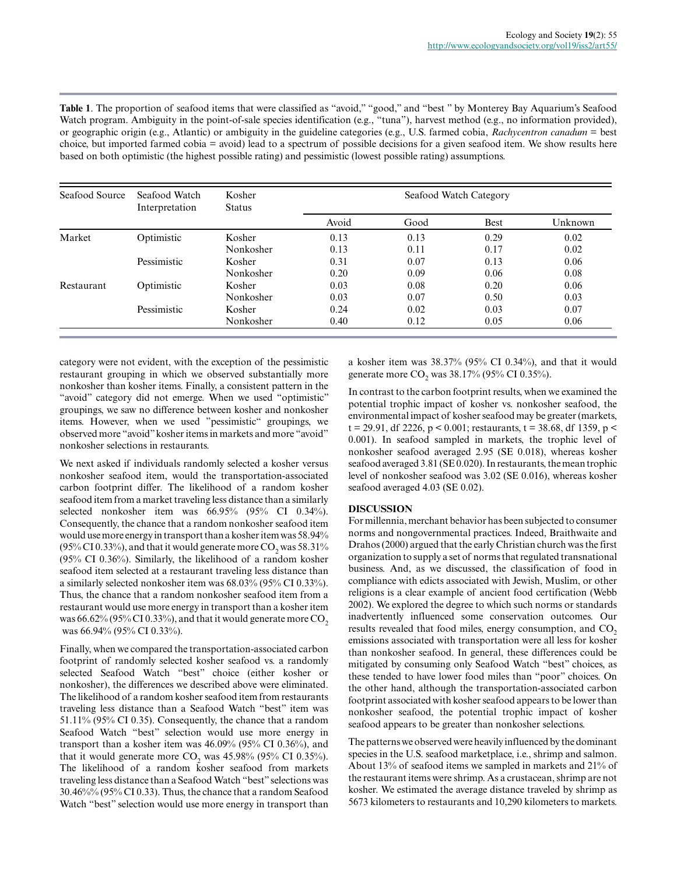**Table 1**. The proportion of seafood items that were classified as "avoid," "good," and "best " by Monterey Bay Aquarium's Seafood Watch program. Ambiguity in the point-of-sale species identification (e.g., "tuna"), harvest method (e.g., no information provided), or geographic origin (e.g., Atlantic) or ambiguity in the guideline categories (e.g., U.S. farmed cobia, *Rachycentron canadum* = best choice, but imported farmed cobia = avoid) lead to a spectrum of possible decisions for a given seafood item. We show results here based on both optimistic (the highest possible rating) and pessimistic (lowest possible rating) assumptions.

| Seafood Source | Seafood Watch<br>Interpretation | Kosher<br><b>Status</b> | Seafood Watch Category |      |             |         |
|----------------|---------------------------------|-------------------------|------------------------|------|-------------|---------|
|                |                                 |                         | Avoid                  | Good | <b>Best</b> | Unknown |
| Market         | Optimistic                      | Kosher                  | 0.13                   | 0.13 | 0.29        | 0.02    |
|                |                                 | Nonkosher               | 0.13                   | 0.11 | 0.17        | 0.02    |
|                | Pessimistic                     | Kosher                  | 0.31                   | 0.07 | 0.13        | 0.06    |
|                |                                 | Nonkosher               | 0.20                   | 0.09 | 0.06        | 0.08    |
| Restaurant     | Optimistic                      | Kosher                  | 0.03                   | 0.08 | 0.20        | 0.06    |
|                |                                 | Nonkosher               | 0.03                   | 0.07 | 0.50        | 0.03    |
|                | Pessimistic                     | Kosher                  | 0.24                   | 0.02 | 0.03        | 0.07    |
|                |                                 | Nonkosher               | 0.40                   | 0.12 | 0.05        | 0.06    |

category were not evident, with the exception of the pessimistic restaurant grouping in which we observed substantially more nonkosher than kosher items. Finally, a consistent pattern in the "avoid" category did not emerge. When we used "optimistic" groupings, we saw no difference between kosher and nonkosher items. However, when we used "pessimistic" groupings, we observed more "avoid" kosher items in markets and more "avoid" nonkosher selections in restaurants.

We next asked if individuals randomly selected a kosher versus nonkosher seafood item, would the transportation-associated carbon footprint differ. The likelihood of a random kosher seafood item from a market traveling less distance than a similarly selected nonkosher item was 66.95% (95% CI 0.34%). Consequently, the chance that a random nonkosher seafood item would use more energy in transport than a kosher item was 58.94% (95% CI 0.33%), and that it would generate more CO<sub>2</sub> was 58.31% (95% CI 0.36%). Similarly, the likelihood of a random kosher seafood item selected at a restaurant traveling less distance than a similarly selected nonkosher item was 68.03% (95% CI 0.33%). Thus, the chance that a random nonkosher seafood item from a restaurant would use more energy in transport than a kosher item was  $66.62\%$  (95% CI 0.33%), and that it would generate more CO<sub>2</sub> was 66.94% (95% CI 0.33%).

Finally, when we compared the transportation-associated carbon footprint of randomly selected kosher seafood vs. a randomly selected Seafood Watch "best" choice (either kosher or nonkosher), the differences we described above were eliminated. The likelihood of a random kosher seafood item from restaurants traveling less distance than a Seafood Watch "best" item was 51.11% (95% CI 0.35). Consequently, the chance that a random Seafood Watch "best" selection would use more energy in transport than a kosher item was 46.09% (95% CI 0.36%), and that it would generate more  $CO_2$  was 45.98% (95% CI 0.35%). The likelihood of a random kosher seafood from markets traveling less distance than a Seafood Watch "best" selections was 30.46%% (95% CI 0.33). Thus, the chance that a random Seafood Watch "best" selection would use more energy in transport than

a kosher item was 38.37% (95% CI 0.34%), and that it would generate more  $CO_2$  was 38.17% (95% CI 0.35%).

In contrast to the carbon footprint results, when we examined the potential trophic impact of kosher vs. nonkosher seafood, the environmental impact of kosher seafood may be greater (markets, t = 29.91, df 2226, p < 0.001; restaurants, t = 38.68, df 1359, p < 0.001). In seafood sampled in markets, the trophic level of nonkosher seafood averaged 2.95 (SE 0.018), whereas kosher seafood averaged 3.81 (SE 0.020). In restaurants, the mean trophic level of nonkosher seafood was 3.02 (SE 0.016), whereas kosher seafood averaged 4.03 (SE 0.02).

## **DISCUSSION**

For millennia, merchant behavior has been subjected to consumer norms and nongovernmental practices. Indeed, Braithwaite and Drahos (2000) argued that the early Christian church was the first organization to supply a set of norms that regulated transnational business. And, as we discussed, the classification of food in compliance with edicts associated with Jewish, Muslim, or other religions is a clear example of ancient food certification (Webb 2002). We explored the degree to which such norms or standards inadvertently influenced some conservation outcomes. Our results revealed that food miles, energy consumption, and CO<sub>2</sub> emissions associated with transportation were all less for kosher than nonkosher seafood. In general, these differences could be mitigated by consuming only Seafood Watch "best" choices, as these tended to have lower food miles than "poor" choices. On the other hand, although the transportation-associated carbon footprint associated with kosher seafood appears to be lower than nonkosher seafood, the potential trophic impact of kosher seafood appears to be greater than nonkosher selections.

The patterns we observed were heavily influenced by the dominant species in the U.S. seafood marketplace, i.e., shrimp and salmon. About 13% of seafood items we sampled in markets and 21% of the restaurant items were shrimp. As a crustacean, shrimp are not kosher. We estimated the average distance traveled by shrimp as 5673 kilometers to restaurants and 10,290 kilometers to markets.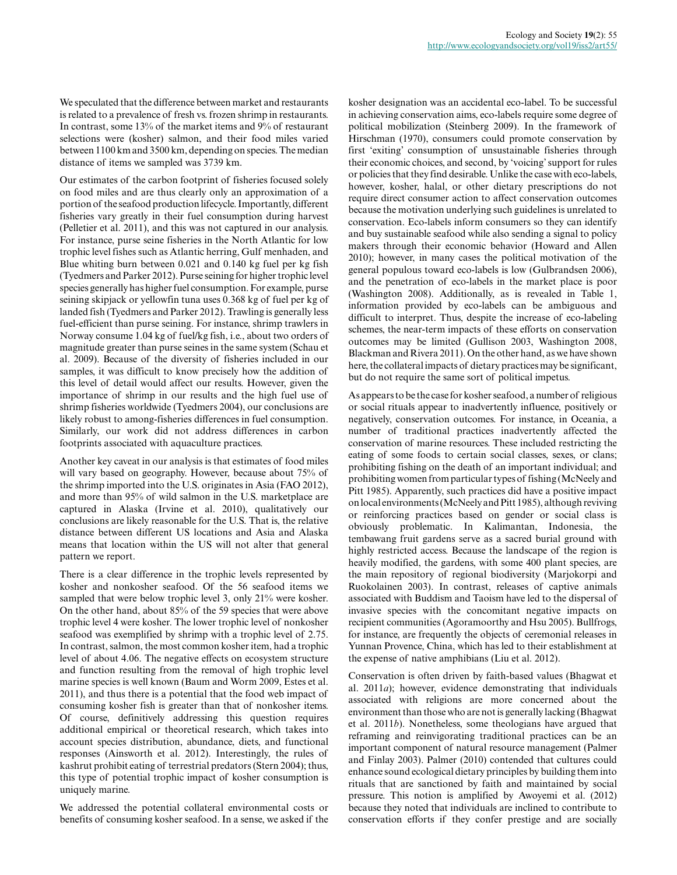We speculated that the difference between market and restaurants is related to a prevalence of fresh vs. frozen shrimp in restaurants. In contrast, some 13% of the market items and 9% of restaurant selections were (kosher) salmon, and their food miles varied between 1100 km and 3500 km, depending on species. The median distance of items we sampled was 3739 km.

Our estimates of the carbon footprint of fisheries focused solely on food miles and are thus clearly only an approximation of a portion of the seafood production lifecycle. Importantly, different fisheries vary greatly in their fuel consumption during harvest (Pelletier et al. 2011), and this was not captured in our analysis. For instance, purse seine fisheries in the North Atlantic for low trophic level fishes such as Atlantic herring, Gulf menhaden, and Blue whiting burn between 0.021 and 0.140 kg fuel per kg fish (Tyedmers and Parker 2012). Purse seining for higher trophic level species generally has higher fuel consumption. For example, purse seining skipjack or yellowfin tuna uses 0.368 kg of fuel per kg of landed fish (Tyedmers and Parker 2012). Trawling is generally less fuel-efficient than purse seining. For instance, shrimp trawlers in Norway consume 1.04 kg of fuel/kg fish, i.e., about two orders of magnitude greater than purse seines in the same system (Schau et al. 2009). Because of the diversity of fisheries included in our samples, it was difficult to know precisely how the addition of this level of detail would affect our results. However, given the importance of shrimp in our results and the high fuel use of shrimp fisheries worldwide (Tyedmers 2004), our conclusions are likely robust to among-fisheries differences in fuel consumption. Similarly, our work did not address differences in carbon footprints associated with aquaculture practices.

Another key caveat in our analysis is that estimates of food miles will vary based on geography. However, because about 75% of the shrimp imported into the U.S. originates in Asia (FAO 2012), and more than 95% of wild salmon in the U.S. marketplace are captured in Alaska (Irvine et al. 2010), qualitatively our conclusions are likely reasonable for the U.S. That is, the relative distance between different US locations and Asia and Alaska means that location within the US will not alter that general pattern we report.

There is a clear difference in the trophic levels represented by kosher and nonkosher seafood. Of the 56 seafood items we sampled that were below trophic level 3, only 21% were kosher. On the other hand, about 85% of the 59 species that were above trophic level 4 were kosher. The lower trophic level of nonkosher seafood was exemplified by shrimp with a trophic level of 2.75. In contrast, salmon, the most common kosher item, had a trophic level of about 4.06. The negative effects on ecosystem structure and function resulting from the removal of high trophic level marine species is well known (Baum and Worm 2009, Estes et al. 2011), and thus there is a potential that the food web impact of consuming kosher fish is greater than that of nonkosher items. Of course, definitively addressing this question requires additional empirical or theoretical research, which takes into account species distribution, abundance, diets, and functional responses (Ainsworth et al. 2012). Interestingly, the rules of kashrut prohibit eating of terrestrial predators (Stern 2004); thus, this type of potential trophic impact of kosher consumption is uniquely marine.

We addressed the potential collateral environmental costs or benefits of consuming kosher seafood. In a sense, we asked if the kosher designation was an accidental eco-label. To be successful in achieving conservation aims, eco-labels require some degree of political mobilization (Steinberg 2009). In the framework of Hirschman (1970), consumers could promote conservation by first 'exiting' consumption of unsustainable fisheries through their economic choices, and second, by 'voicing' support for rules or policies that they find desirable. Unlike the case with eco-labels, however, kosher, halal, or other dietary prescriptions do not require direct consumer action to affect conservation outcomes because the motivation underlying such guidelines is unrelated to conservation. Eco-labels inform consumers so they can identify and buy sustainable seafood while also sending a signal to policy makers through their economic behavior (Howard and Allen 2010); however, in many cases the political motivation of the general populous toward eco-labels is low (Gulbrandsen 2006), and the penetration of eco-labels in the market place is poor (Washington 2008). Additionally, as is revealed in Table 1, information provided by eco-labels can be ambiguous and difficult to interpret. Thus, despite the increase of eco-labeling schemes, the near-term impacts of these efforts on conservation outcomes may be limited (Gullison 2003, Washington 2008, Blackman and Rivera 2011). On the other hand, as we have shown here, the collateral impacts of dietary practices may be significant, but do not require the same sort of political impetus.

As appears to be the case for kosher seafood, a number of religious or social rituals appear to inadvertently influence, positively or negatively, conservation outcomes. For instance, in Oceania, a number of traditional practices inadvertently affected the conservation of marine resources. These included restricting the eating of some foods to certain social classes, sexes, or clans; prohibiting fishing on the death of an important individual; and prohibiting women from particular types of fishing (McNeely and Pitt 1985). Apparently, such practices did have a positive impact on local environments (McNeely and Pitt 1985), although reviving or reinforcing practices based on gender or social class is obviously problematic. In Kalimantan, Indonesia, the tembawang fruit gardens serve as a sacred burial ground with highly restricted access. Because the landscape of the region is heavily modified, the gardens, with some 400 plant species, are the main repository of regional biodiversity (Marjokorpi and Ruokolainen 2003). In contrast, releases of captive animals associated with Buddism and Taoism have led to the dispersal of invasive species with the concomitant negative impacts on recipient communities (Agoramoorthy and Hsu 2005). Bullfrogs, for instance, are frequently the objects of ceremonial releases in Yunnan Provence, China, which has led to their establishment at the expense of native amphibians (Liu et al. 2012).

Conservation is often driven by faith-based values (Bhagwat et al. 2011*a*); however, evidence demonstrating that individuals associated with religions are more concerned about the environment than those who are not is generally lacking (Bhagwat et al. 2011*b*). Nonetheless, some theologians have argued that reframing and reinvigorating traditional practices can be an important component of natural resource management (Palmer and Finlay 2003). Palmer (2010) contended that cultures could enhance sound ecological dietary principles by building them into rituals that are sanctioned by faith and maintained by social pressure. This notion is amplified by Awoyemi et al. (2012) because they noted that individuals are inclined to contribute to conservation efforts if they confer prestige and are socially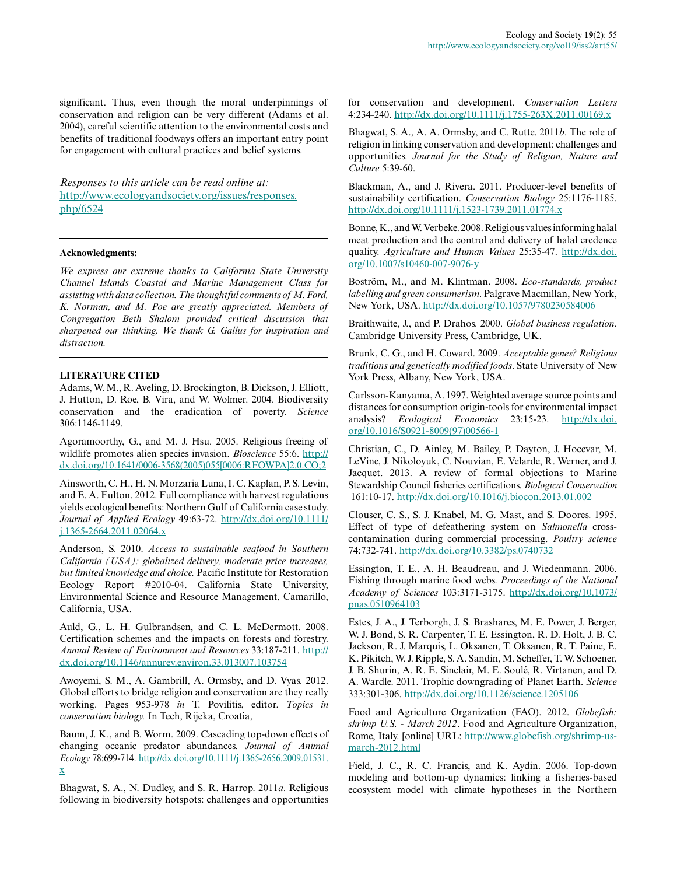significant. Thus, even though the moral underpinnings of conservation and religion can be very different (Adams et al. 2004), careful scientific attention to the environmental costs and benefits of traditional foodways offers an important entry point for engagement with cultural practices and belief systems.

*Responses to this article can be read online at:* [http://www.ecologyandsociety.org/issues/responses.](http://www.ecologyandsociety.org/issues/responses.php/6524) [php/6524](http://www.ecologyandsociety.org/issues/responses.php/6524)

#### **Acknowledgments:**

*We express our extreme thanks to California State University Channel Islands Coastal and Marine Management Class for assisting with data collection. The thoughtful comments of M. Ford, K. Norman, and M. Poe are greatly appreciated. Members of Congregation Beth Shalom provided critical discussion that sharpened our thinking. We thank G. Gallus for inspiration and distraction.*

## **LITERATURE CITED**

Adams, W. M., R. Aveling, D. Brockington, B. Dickson, J. Elliott, J. Hutton, D. Roe, B. Vira, and W. Wolmer. 2004. Biodiversity conservation and the eradication of poverty. *Science* 306:1146-1149.

Agoramoorthy, G., and M. J. Hsu. 2005. Religious freeing of wildlife promotes alien species invasion. *Bioscience* 55:6. [http://](http://dx.doi.org/10.1641/0006-3568(2005)055[0006:RFOWPA]2.0.CO;2) [dx.doi.org/10.1641/0006-3568\(2005\)055\[0006:RFOWPA\]2.0.CO;2](http://dx.doi.org/10.1641/0006-3568(2005)055[0006:RFOWPA]2.0.CO;2)

Ainsworth, C. H., H. N. Morzaria Luna, I. C. Kaplan, P. S. Levin, and E. A. Fulton. 2012. Full compliance with harvest regulations yields ecological benefits: Northern Gulf of California case study. *Journal of Applied Ecology* 49:63-72. [http://dx.doi.org/10.1111/](http://dx.doi.org/10.1111/j.1365-2664.2011.02064.x) [j.1365-2664.2011.02064.x](http://dx.doi.org/10.1111/j.1365-2664.2011.02064.x)

Anderson, S. 2010. *Access to sustainable seafood in Southern California (USA): globalized delivery, moderate price increases, but limited knowledge and choice.* Pacific Institute for Restoration Ecology Report #2010-04. California State University, Environmental Science and Resource Management, Camarillo, California, USA.

Auld, G., L. H. Gulbrandsen, and C. L. McDermott. 2008. Certification schemes and the impacts on forests and forestry. *Annual Review of Environment and Resources* 33:187-211. [http://](http://dx.doi.org/10.1146/annurev.environ.33.013007.103754) [dx.doi.org/10.1146/annurev.environ.33.013007.103754](http://dx.doi.org/10.1146/annurev.environ.33.013007.103754)

Awoyemi, S. M., A. Gambrill, A. Ormsby, and D. Vyas. 2012. Global efforts to bridge religion and conservation are they really working. Pages 953-978 *in* T. Povilitis, editor. *Topics in conservation biology.* In Tech, Rijeka, Croatia,

Baum, J. K., and B. Worm. 2009. Cascading top-down effects of changing oceanic predator abundances. *Journal of Animal Ecology* 78:699-714. [http://dx.doi.org/10.1111/j.1365-2656.2009.01531.](http://dx.doi.org/10.1111/j.1365-2656.2009.01531.x) [x](http://dx.doi.org/10.1111/j.1365-2656.2009.01531.x)

Bhagwat, S. A., N. Dudley, and S. R. Harrop. 2011*a*. Religious following in biodiversity hotspots: challenges and opportunities for conservation and development. *Conservation Letters* 4:234-240. <http://dx.doi.org/10.1111/j.1755-263X.2011.00169.x>

Bhagwat, S. A., A. A. Ormsby, and C. Rutte. 2011*b*. The role of religion in linking conservation and development: challenges and opportunities. *Journal for the Study of Religion, Nature and Culture* 5:39-60.

Blackman, A., and J. Rivera. 2011. Producer-level benefits of sustainability certification. *Conservation Biology* 25:1176-1185. <http://dx.doi.org/10.1111/j.1523-1739.2011.01774.x>

Bonne, K., and W. Verbeke. 2008. Religious values informing halal meat production and the control and delivery of halal credence quality. *Agriculture and Human Values* 25:35-47. [http://dx.doi.](http://dx.doi.org/10.1007/s10460-007-9076-y) [org/10.1007/s10460-007-9076-y](http://dx.doi.org/10.1007/s10460-007-9076-y)

Boström, M., and M. Klintman. 2008. *Eco-standards, product labelling and green consumerism*. Palgrave Macmillan, New York, New York, USA. <http://dx.doi.org/10.1057/9780230584006>

Braithwaite, J., and P. Drahos. 2000. *Global business regulation*. Cambridge University Press, Cambridge, UK.

Brunk, C. G., and H. Coward. 2009. *Acceptable genes? Religious traditions and genetically modified foods*. State University of New York Press, Albany, New York, USA.

Carlsson-Kanyama, A. 1997. Weighted average source points and distances for consumption origin-tools for environmental impact analysis? *Ecological Economics* 23:15-23. [http://dx.doi.](http://dx.doi.org/10.1016/S0921-8009(97)00566-1) [org/10.1016/S0921-8009\(97\)00566-1](http://dx.doi.org/10.1016/S0921-8009(97)00566-1)

Christian, C., D. Ainley, M. Bailey, P. Dayton, J. Hocevar, M. LeVine, J. Nikoloyuk, C. Nouvian, E. Velarde, R. Werner, and J. Jacquet. 2013. A review of formal objections to Marine Stewardship Council fisheries certifications. *Biological Conservation* 161:10-17. <http://dx.doi.org/10.1016/j.biocon.2013.01.002>

Clouser, C. S., S. J. Knabel, M. G. Mast, and S. Doores. 1995. Effect of type of defeathering system on *Salmonella* crosscontamination during commercial processing. *Poultry science* 74:732-741.<http://dx.doi.org/10.3382/ps.0740732>

Essington, T. E., A. H. Beaudreau, and J. Wiedenmann. 2006. Fishing through marine food webs. *Proceedings of the National Academy of Sciences* 103:3171-3175. [http://dx.doi.org/10.1073/](http://dx.doi.org/10.1073/pnas.0510964103) [pnas.0510964103](http://dx.doi.org/10.1073/pnas.0510964103)

Estes, J. A., J. Terborgh, J. S. Brashares, M. E. Power, J. Berger, W. J. Bond, S. R. Carpenter, T. E. Essington, R. D. Holt, J. B. C. Jackson, R. J. Marquis, L. Oksanen, T. Oksanen, R. T. Paine, E. K. Pikitch, W. J. Ripple, S. A. Sandin, M. Scheffer, T. W. Schoener, J. B. Shurin, A. R. E. Sinclair, M. E. Soulé, R. Virtanen, and D. A. Wardle. 2011. Trophic downgrading of Planet Earth. *Science* 333:301-306. <http://dx.doi.org/10.1126/science.1205106>

Food and Agriculture Organization (FAO). 2012. *Globefish: shrimp U.S. - March 2012*. Food and Agriculture Organization, Rome, Italy. [online] URL: [http://www.globefish.org/shrimp-us](http://www.globefish.org/shrimp-us-march-2012.html)[march-2012.html](http://www.globefish.org/shrimp-us-march-2012.html)

Field, J. C., R. C. Francis, and K. Aydin. 2006. Top-down modeling and bottom-up dynamics: linking a fisheries-based ecosystem model with climate hypotheses in the Northern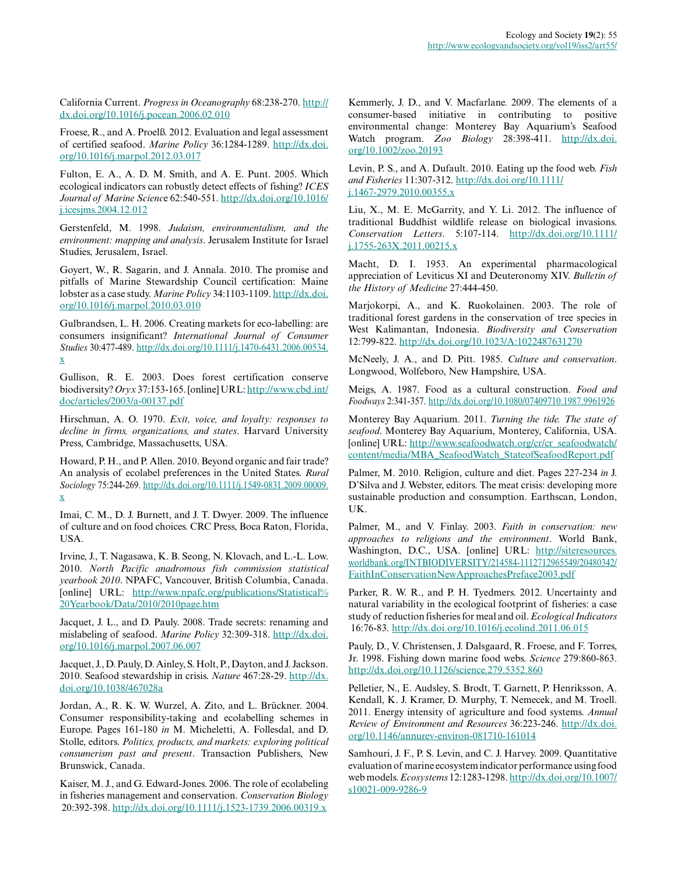California Current. *Progress in Oceanography* 68:238-270. [http://](http://dx.doi.org/10.1016/j.pocean.2006.02.010) [dx.doi.org/10.1016/j.pocean.2006.02.010](http://dx.doi.org/10.1016/j.pocean.2006.02.010)

Froese, R., and A. Proelß. 2012. Evaluation and legal assessment of certified seafood. *Marine Policy* 36:1284-1289. [http://dx.doi.](http://dx.doi.org/10.1016/j.marpol.2012.03.017) [org/10.1016/j.marpol.2012.03.017](http://dx.doi.org/10.1016/j.marpol.2012.03.017)

Fulton, E. A., A. D. M. Smith, and A. E. Punt. 2005. Which ecological indicators can robustly detect effects of fishing? *ICES Journal of Marine Scienc*e 62:540-551. [http://dx.doi.org/10.1016/](http://dx.doi.org/10.1016/j.icesjms.2004.12.012) [j.icesjms.2004.12.012](http://dx.doi.org/10.1016/j.icesjms.2004.12.012)

Gerstenfeld, M. 1998. *Judaism, environmentalism, and the environment: mapping and analysis*. Jerusalem Institute for Israel Studies, Jerusalem, Israel.

Goyert, W., R. Sagarin, and J. Annala. 2010. The promise and pitfalls of Marine Stewardship Council certification: Maine lobster as a case study. *Marine Policy* 34:1103-1109. [http://dx.doi.](http://dx.doi.org/10.1016/j.marpol.2010.03.010) [org/10.1016/j.marpol.2010.03.010](http://dx.doi.org/10.1016/j.marpol.2010.03.010)

Gulbrandsen, L. H. 2006. Creating markets for eco-labelling: are consumers insignificant? *International Journal of Consumer Studies* 30:477-489. [http://dx.doi.org/10.1111/j.1470-6431.2006.00534.](http://dx.doi.org/10.1111/j.1470-6431.2006.00534.x) [x](http://dx.doi.org/10.1111/j.1470-6431.2006.00534.x)

Gullison, R. E. 2003. Does forest certification conserve biodiversity? *Oryx* 37:153-165. [online] URL: [http://www.cbd.int/](http://www.cbd.int/doc/articles/2003/a-00137.pdf) [doc/articles/2003/a-00137.pdf](http://www.cbd.int/doc/articles/2003/a-00137.pdf)

Hirschman, A. O. 1970. *Exit, voice, and loyalty: responses to decline in firms, organizations, and states*. Harvard University Press, Cambridge, Massachusetts, USA.

Howard, P. H., and P. Allen. 2010. Beyond organic and fair trade? An analysis of ecolabel preferences in the United States. *Rural Sociology* 75:244-269. [http://dx.doi.org/10.1111/j.1549-0831.2009.00009.](http://dx.doi.org/10.1111/j.1549-0831.2009.00009.x) [x](http://dx.doi.org/10.1111/j.1549-0831.2009.00009.x)

Imai, C. M., D. J. Burnett, and J. T. Dwyer. 2009. The influence of culture and on food choices. CRC Press, Boca Raton, Florida, USA.

Irvine, J., T. Nagasawa, K. B. Seong, N. Klovach, and L.-L. Low. 2010. *North Pacific anadromous fish commission statistical yearbook 2010*. NPAFC, Vancouver, British Columbia, Canada. [online] URL: [http://www.npafc.org/publications/Statistical%](http://www.npafc.org/publications/Statistical%20Yearbook/Data/2010/2010page.htm) [20Yearbook/Data/2010/2010page.htm](http://www.npafc.org/publications/Statistical%20Yearbook/Data/2010/2010page.htm)

Jacquet, J. L., and D. Pauly. 2008. Trade secrets: renaming and mislabeling of seafood. *Marine Policy* 32:309-318. [http://dx.doi.](http://dx.doi.org/10.1016/j.marpol.2007.06.007) [org/10.1016/j.marpol.2007.06.007](http://dx.doi.org/10.1016/j.marpol.2007.06.007)

Jacquet, J., D. Pauly, D. Ainley, S. Holt, P., Dayton, and J. Jackson. 2010. Seafood stewardship in crisis. *Nature* 467:28-29. [http://dx.](http://dx.doi.org/10.1038/467028a) [doi.org/10.1038/467028a](http://dx.doi.org/10.1038/467028a)

Jordan, A., R. K. W. Wurzel, A. Zito, and L. Brückner. 2004. Consumer responsibility-taking and ecolabelling schemes in Europe. Pages 161-180 *in* M. Micheletti, A. Follesdal, and D. Stolle, editors. *Politics, products, and markets: exploring political consumerism past and present*. Transaction Publishers, New Brunswick, Canada.

Kaiser, M. J., and G. Edward-Jones. 2006. The role of ecolabeling in fisheries management and conservation. *Conservation Biology* 20:392-398. <http://dx.doi.org/10.1111/j.1523-1739.2006.00319.x>

Kemmerly, J. D., and V. Macfarlane. 2009. The elements of a consumer-based initiative in contributing to positive environmental change: Monterey Bay Aquarium's Seafood Watch program. *Zoo Biology* 28:398-411. [http://dx.doi.](http://dx.doi.org/10.1002/zoo.20193) [org/10.1002/zoo.20193](http://dx.doi.org/10.1002/zoo.20193)

Levin, P. S., and A. Dufault. 2010. Eating up the food web. *Fish and Fisheries* 11:307-312. [http://dx.doi.org/10.1111/](http://dx.doi.org/10.1111/j.1467-2979.2010.00355.x) [j.1467-2979.2010.00355.x](http://dx.doi.org/10.1111/j.1467-2979.2010.00355.x)

Liu, X., M. E. McGarrity, and Y. Li. 2012. The influence of traditional Buddhist wildlife release on biological invasions. *Conservation Letters*. 5:107-114. [http://dx.doi.org/10.1111/](http://dx.doi.org/10.1111/j.1755-263X.2011.00215.x) [j.1755-263X.2011.00215.x](http://dx.doi.org/10.1111/j.1755-263X.2011.00215.x)

Macht, D. I. 1953. An experimental pharmacological appreciation of Leviticus XI and Deuteronomy XIV. *Bulletin of the History of Medicine* 27:444-450.

Marjokorpi, A., and K. Ruokolainen. 2003. The role of traditional forest gardens in the conservation of tree species in West Kalimantan, Indonesia. *Biodiversity and Conservation* 12:799-822.<http://dx.doi.org/10.1023/A:1022487631270>

McNeely, J. A., and D. Pitt. 1985. *Culture and conservation*. Longwood, Wolfeboro, New Hampshire, USA.

Meigs, A. 1987. Food as a cultural construction. *Food and Foodways* 2:341-357.<http://dx.doi.org/10.1080/07409710.1987.9961926>

Monterey Bay Aquarium. 2011. *Turning the tide. The state of seafood*. Monterey Bay Aquarium, Monterey, California, USA. [online] URL: [http://www.seafoodwatch.org/cr/cr\\_seafoodwatch/](http://www.seafoodwatch.org/cr/cr_seafoodwatch/content/media/MBA_SeafoodWatch_StateofSeafoodReport.pdf) [content/media/MBA\\_SeafoodWatch\\_StateofSeafoodReport.pdf](http://www.seafoodwatch.org/cr/cr_seafoodwatch/content/media/MBA_SeafoodWatch_StateofSeafoodReport.pdf)

Palmer, M. 2010. Religion, culture and diet. Pages 227-234 *in* J. D'Silva and J. Webster, editors. The meat crisis: developing more sustainable production and consumption. Earthscan, London, UK.

Palmer, M., and V. Finlay. 2003. *Faith in conservation: new approaches to religions and the environment*. World Bank, Washington, D.C., USA. [online] URL: [http://siteresources.](http://siteresources.worldbank.org/INTBIODIVERSITY/214584-1112712965549/20480342/FaithInConservationNewApproachesPreface2003.pdf) [worldbank.org/INTBIODIVERSITY/214584-1112712965549/20480342/](http://siteresources.worldbank.org/INTBIODIVERSITY/214584-1112712965549/20480342/FaithInConservationNewApproachesPreface2003.pdf) [FaithInConservationNewApproachesPreface2003.pdf](http://siteresources.worldbank.org/INTBIODIVERSITY/214584-1112712965549/20480342/FaithInConservationNewApproachesPreface2003.pdf)

Parker, R. W. R., and P. H. Tyedmers. 2012. Uncertainty and natural variability in the ecological footprint of fisheries: a case study of reduction fisheries for meal and oil. *Ecological Indicators* 16:76-83.<http://dx.doi.org/10.1016/j.ecolind.2011.06.015>

Pauly, D., V. Christensen, J. Dalsgaard, R. Froese, and F. Torres, Jr. 1998. Fishing down marine food webs. *Science* 279:860-863. <http://dx.doi.org/10.1126/science.279.5352.860>

Pelletier, N., E. Audsley, S. Brodt, T. Garnett, P. Henriksson, A. Kendall, K. J. Kramer, D. Murphy, T. Nemecek, and M. Troell. 2011. Energy intensity of agriculture and food systems. *Annual Review of Environment and Resources* 36:223-246. [http://dx.doi.](http://dx.doi.org/10.1146/annurev-environ-081710-161014) [org/10.1146/annurev-environ-081710-161014](http://dx.doi.org/10.1146/annurev-environ-081710-161014)

Samhouri, J. F., P. S. Levin, and C. J. Harvey. 2009. Quantitative evaluation of marine ecosystem indicator performance using food web models. *Ecosystems* 12:1283-1298. [http://dx.doi.org/10.1007/](http://dx.doi.org/10.1007/s10021-009-9286-9) [s10021-009-9286-9](http://dx.doi.org/10.1007/s10021-009-9286-9)